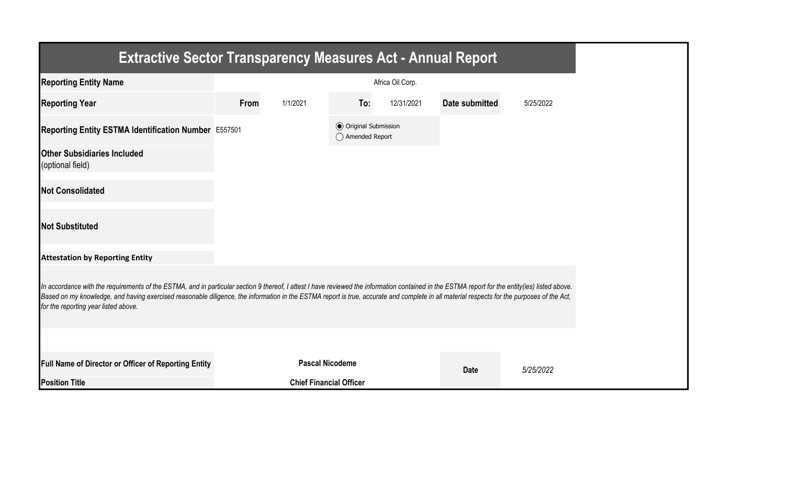| <b>Extractive Sector Transparency Measures Act - Annual Report</b>                                                                                                                                                                                                                                                                                                                                                                    |      |                                |                                                  |                  |                |           |
|---------------------------------------------------------------------------------------------------------------------------------------------------------------------------------------------------------------------------------------------------------------------------------------------------------------------------------------------------------------------------------------------------------------------------------------|------|--------------------------------|--------------------------------------------------|------------------|----------------|-----------|
| <b>Reporting Entity Name</b>                                                                                                                                                                                                                                                                                                                                                                                                          |      |                                |                                                  | Africa Oil Corp. |                |           |
| <b>Reporting Year</b>                                                                                                                                                                                                                                                                                                                                                                                                                 | From | 1/1/2021                       | To:                                              | 12/31/2021       | Date submitted | 5/25/2022 |
| Reporting Entity ESTMA Identification Number E557501                                                                                                                                                                                                                                                                                                                                                                                  |      |                                | <b>◎</b> Original Submission<br>◯ Amended Report |                  |                |           |
| <b>Other Subsidiaries Included</b><br>(optional field)                                                                                                                                                                                                                                                                                                                                                                                |      |                                |                                                  |                  |                |           |
| <b>Not Consolidated</b>                                                                                                                                                                                                                                                                                                                                                                                                               |      |                                |                                                  |                  |                |           |
| <b>Not Substituted</b>                                                                                                                                                                                                                                                                                                                                                                                                                |      |                                |                                                  |                  |                |           |
| <b>Attestation by Reporting Entity</b>                                                                                                                                                                                                                                                                                                                                                                                                |      |                                |                                                  |                  |                |           |
| In accordance with the requirements of the ESTMA, and in particular section 9 thereof, I attest I have reviewed the information contained in the ESTMA report for the entity(ies) listed above.<br>Based on my knowledge, and having exercised reasonable diligence, the information in the ESTMA report is true, accurate and complete in all material respects for the purposes of the Act,<br>for the reporting year listed above. |      |                                |                                                  |                  |                |           |
|                                                                                                                                                                                                                                                                                                                                                                                                                                       |      |                                |                                                  |                  |                |           |
| Full Name of Director or Officer of Reporting Entity                                                                                                                                                                                                                                                                                                                                                                                  |      | <b>Pascal Nicodeme</b>         |                                                  |                  | <b>Date</b>    | 5/25/2022 |
| <b>Position Title</b>                                                                                                                                                                                                                                                                                                                                                                                                                 |      | <b>Chief Financial Officer</b> |                                                  |                  |                |           |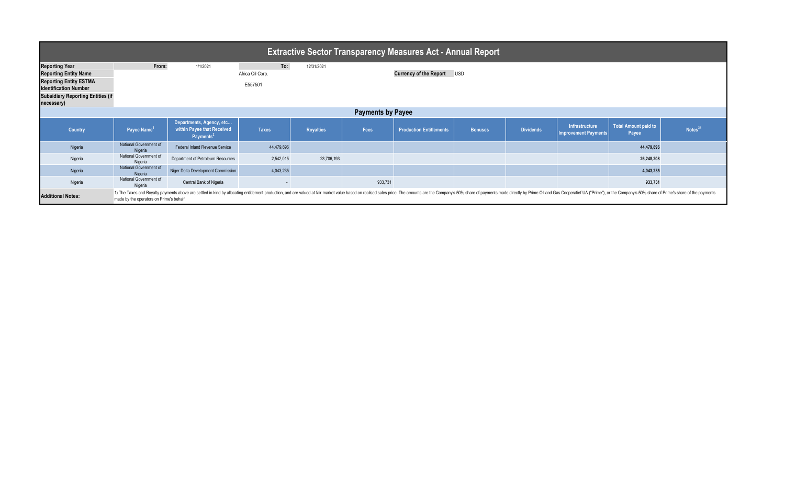| <b>Extractive Sector Transparency Measures Act - Annual Report</b>                                                                                                               |                                                                                                                                                                                                                                                                           |                                                                                 |                                    |                  |         |                                   |                |                  |                                                      |                               |                     |  |
|----------------------------------------------------------------------------------------------------------------------------------------------------------------------------------|---------------------------------------------------------------------------------------------------------------------------------------------------------------------------------------------------------------------------------------------------------------------------|---------------------------------------------------------------------------------|------------------------------------|------------------|---------|-----------------------------------|----------------|------------------|------------------------------------------------------|-------------------------------|---------------------|--|
| <b>Reporting Year</b><br><b>Reporting Entity Name</b><br><b>Reporting Entity ESTMA</b><br><b>Identification Number</b><br><b>Subsidiary Reporting Entities (if</b><br>necessary) | From:                                                                                                                                                                                                                                                                     | 1/1/2021                                                                        | To:<br>Africa Oil Corp.<br>E557501 | 12/31/2021       |         | <b>Currency of the Report USD</b> |                |                  |                                                      |                               |                     |  |
| <b>Payments by Payee</b>                                                                                                                                                         |                                                                                                                                                                                                                                                                           |                                                                                 |                                    |                  |         |                                   |                |                  |                                                      |                               |                     |  |
| <b>Country</b>                                                                                                                                                                   | Payee Name <sup>1</sup>                                                                                                                                                                                                                                                   | Departments, Agency, etc<br>within Payee that Received<br>Payments <sup>2</sup> | <b>Taxes</b>                       | <b>Royalties</b> | Fees    | <b>Production Entitlements</b>    | <b>Bonuses</b> | <b>Dividends</b> | <b>Infrastructure</b><br><b>Improvement Payments</b> | Total Amount paid to<br>Payee | Notes <sup>34</sup> |  |
| Nigeria                                                                                                                                                                          | National Government of<br>Nigeria                                                                                                                                                                                                                                         | Federal Inland Revenue Service                                                  | 44,479,896                         |                  |         |                                   |                |                  |                                                      | 44,479,896                    |                     |  |
| Nigeria                                                                                                                                                                          | National Government of<br>Nigeria                                                                                                                                                                                                                                         | Department of Petroleum Resources                                               | 2,542,015                          | 23,706,193       |         |                                   |                |                  |                                                      | 26,248,208                    |                     |  |
| Nigeria                                                                                                                                                                          | National Government of<br>Nigeria                                                                                                                                                                                                                                         | Niger Delta Development Commission                                              | 4,043,235                          |                  |         |                                   |                |                  |                                                      | 4,043,235                     |                     |  |
| Nigeria                                                                                                                                                                          | National Government of<br>Nigeria                                                                                                                                                                                                                                         | Central Bank of Nigeria                                                         | $\sim$                             |                  | 933,731 |                                   |                |                  |                                                      | 933,731                       |                     |  |
| <b>Additional Notes:</b>                                                                                                                                                         | 1) The Taxes and Royalty payments above are settled in kind by allocating entitlement production, and are valued at fair market value based on realised sales price. The amounts are the Company's 50% share of payments made<br>made by the operators on Prime's behalf. |                                                                                 |                                    |                  |         |                                   |                |                  |                                                      |                               |                     |  |